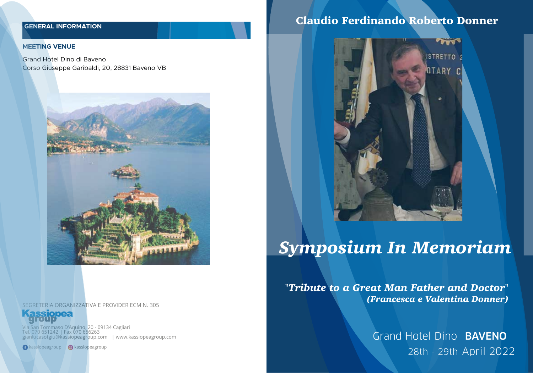## **GENERAL INFORMATION**

#### **MEETING VENUE**

Grand Hotel Dino di Baveno Corso Giuseppe Garibaldi, 20, 28831 Baveno VB



SEGRETERIA ORGANIZZATIVA E PROVIDER ECM N. 305

ssionea

Via San Tommaso D'Aquino, 20 - 09134 Cagliari Tel. 070 651242 | Fax 070 656263 gianlucasotgiu@kassiopeagroup.com | www.kassiopeagroup.com

**C** kassiopeagroup **C** kassiopeagroup

## Claudio Ferdinando Roberto Donner



# *Symposium In Memoriam*

*"Tribute to a Great Man Father and Doctor" (Francesca e Valentina Donner)*

> Grand Hotel Dino BAVENO 28th - 29th April 2022